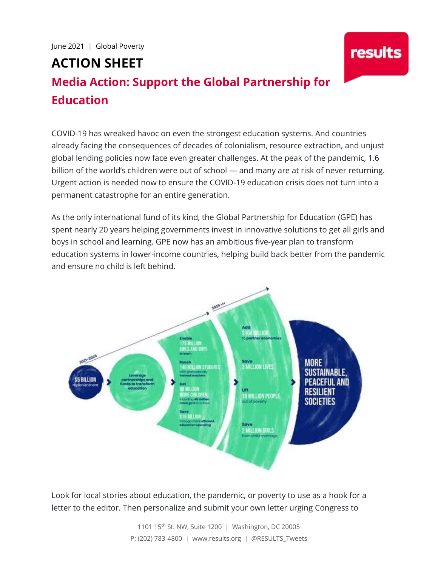# **ACTION SHEET**

## **Media Action: Support the Global Partnership for Education**

COVID-19 has wreaked havoc on even the strongest education systems. And countries already facing the consequences of decades of colonialism, resource extraction, and unjust global lending policies now face even greater challenges. At the peak of the pandemic, 1.6 billion of the world's children were out of school — and many are at risk of never returning. Urgent action is needed now to ensure the COVID-19 education crisis does not turn into a permanent catastrophe for an entire generation.

results

As the only international fund of its kind, the Global Partnership for Education (GPE) has spent nearly 20 years helping governments invest in innovative solutions to get all girls and boys in school and learning. GPE now has an ambitious five-year plan to transform education systems in lower-income countries, helping build back better from the pandemic and ensure no child is left behind.



Look for local stories about education, the pandemic, or poverty to use as a hook for a letter to the editor. Then personalize and submit your own letter urging Congress to

> 1101 15th St. NW, Suite 1200 | Washington, DC 20005 P: (202) 783-4800 | www.results.org | @RESULTS\_Tweets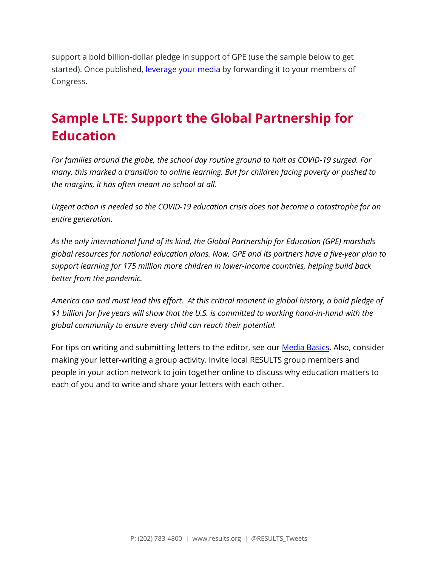support a bold billion-dollar pledge in support of GPE (use the sample below to get started). Once published, [leverage your media](https://results.org/wp-content/uploads/Leveraging-Media-Chart.pdf) by forwarding it to your members of Congress.

### **Sample LTE: Support the Global Partnership for Education**

*For families around the globe, the school day routine ground to halt as COVID-19 surged. For many, this marked a transition to online learning. But for children facing poverty or pushed to the margins, it has often meant no school at all.* 

*Urgent action is needed so the COVID-19 education crisis does not become a catastrophe for an entire generation.* 

*As the only international fund of its kind, the Global Partnership for Education (GPE) marshals global resources for national education plans. Now, GPE and its partners have a five-year plan to support learning for 175 million more children in lower-income countries, helping build back better from the pandemic.* 

*America can and must lead this effort. At this critical moment in global history, a bold pledge of \$1 billion for five years will show that the U.S. is committed to working hand-in-hand with the global community to ensure every child can reach their potential.*

For tips on writing and submitting letters to the editor, see our **Media Basics**. Also, consider making your letter-writing a group activity. Invite local RESULTS group members and people in your action network to join together online to discuss why education matters to each of you and to write and share your letters with each other.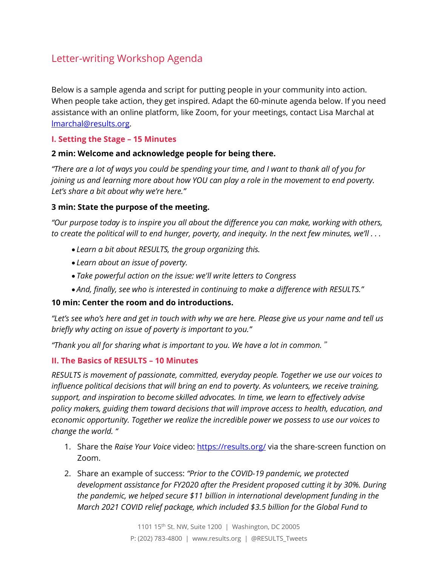### Letter-writing Workshop Agenda

Below is a sample agenda and script for putting people in your community into action. When people take action, they get inspired. Adapt the 60-minute agenda below. If you need assistance with an online platform, like Zoom, for your meetings, contact Lisa Marchal at [lmarchal@results.org.](mailto:lmarchal@results.org)

#### **I. Setting the Stage – 15 Minutes**

#### **2 min: Welcome and acknowledge people for being there.**

*"There are a lot of ways you could be spending your time, and I want to thank all of you for joining us and learning more about how YOU can play a role in the movement to end poverty. Let's share a bit about why we're here."*

#### **3 min: State the purpose of the meeting.**

*"Our purpose today is to inspire you all about the difference you can make, working with others, to create the political will to end hunger, poverty, and inequity. In the next few minutes, we'll . . .* 

- *Learn a bit about RESULTS, the group organizing this.*
- *Learn about an issue of poverty.*
- *Take powerful action on the issue: we'll write letters to Congress*
- *And, finally, see who is interested in continuing to make a difference with RESULTS."*

#### **10 min: Center the room and do introductions.**

*"Let's see who's here and get in touch with why we are here. Please give us your name and tell us briefly why acting on issue of poverty is important to you."*

*"Thank you all for sharing what is important to you. We have a lot in common.*"

#### **II. The Basics of RESULTS – 10 Minutes**

*RESULTS is movement of passionate, committed, everyday people. Together we use our voices to influence political decisions that will bring an end to poverty. As volunteers, we receive training, support, and inspiration to become skilled advocates. In time, we learn to effectively advise policy makers, guiding them toward decisions that will improve access to health, education, and economic opportunity. Together we realize the incredible power we possess to use our voices to change the world. "*

- 1. Share the *Raise Your Voice* video:<https://results.org/> via the share-screen function on Zoom.
- 2. Share an example of success: *"Prior to the COVID-19 pandemic, we protected development assistance for FY2020 after the President proposed cutting it by 30%. During the pandemic, we helped secure \$11 billion in international development funding in the March 2021 COVID relief package, which included \$3.5 billion for the Global Fund to*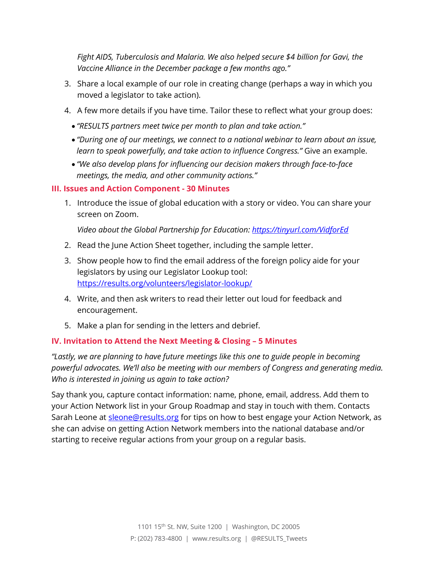*Fight AIDS, Tuberculosis and Malaria. We also helped secure \$4 billion for Gavi, the Vaccine Alliance in the December package a few months ago."*

- 3. Share a local example of our role in creating change (perhaps a way in which you moved a legislator to take action).
- 4. A few more details if you have time. Tailor these to reflect what your group does:
	- *"RESULTS partners meet twice per month to plan and take action."*
	- *"During one of our meetings, we connect to a national webinar to learn about an issue, learn to speak powerfully, and take action to influence Congress."* Give an example.
	- *"We also develop plans for influencing our decision makers through face-to-face meetings, the media, and other community actions."*

#### **III. Issues and Action Component - 30 Minutes**

1. Introduce the issue of global education with a story or video. You can share your screen on Zoom.

*Video about the Global Partnership for Education:<https://tinyurl.com/VidforEd>*

- 2. Read the June Action Sheet together, including the sample letter.
- 3. Show people how to find the email address of the foreign policy aide for your legislators by using our Legislator Lookup tool: <https://results.org/volunteers/legislator-lookup/>
- 4. Write, and then ask writers to read their letter out loud for feedback and encouragement.
- 5. Make a plan for sending in the letters and debrief.

#### **IV. Invitation to Attend the Next Meeting & Closing – 5 Minutes**

*"Lastly, we are planning to have future meetings like this one to guide people in becoming powerful advocates. We'll also be meeting with our members of Congress and generating media. Who is interested in joining us again to take action?* 

Say thank you, capture contact information: name, phone, email, address. Add them to your Action Network list in your Group Roadmap and stay in touch with them. Contacts Sarah Leone at **sleone@results.org** for tips on how to best engage your Action Network, as she can advise on getting Action Network members into the national database and/or starting to receive regular actions from your group on a regular basis.